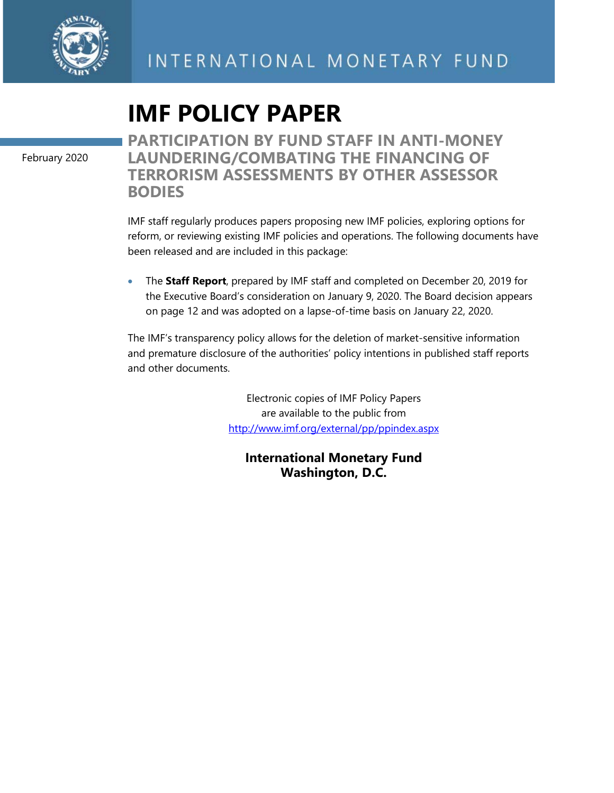

# **IMF POLICY PAPER**

February 2020

**PARTICIPATION BY FUND STAFF IN ANTI-MONEY LAUNDERING/COMBATING THE FINANCING OF TERRORISM ASSESSMENTS BY OTHER ASSESSOR BODIES**

IMF staff regularly produces papers proposing new IMF policies, exploring options for reform, or reviewing existing IMF policies and operations. The following documents have been released and are included in this package:

• The **Staff Report**, prepared by IMF staff and completed on December 20, 2019 for the Executive Board's consideration on January 9, 2020. The Board decision appears on page 12 and was adopted on a lapse-of-time basis on January 22, 2020.

The IMF's transparency policy allows for the deletion of market-sensitive information and premature disclosure of the authorities' policy intentions in published staff reports and other documents.

> Electronic copies of IMF Policy Papers are available to the public from <http://www.imf.org/external/pp/ppindex.aspx>

**International Monetary Fund Washington, D.C.**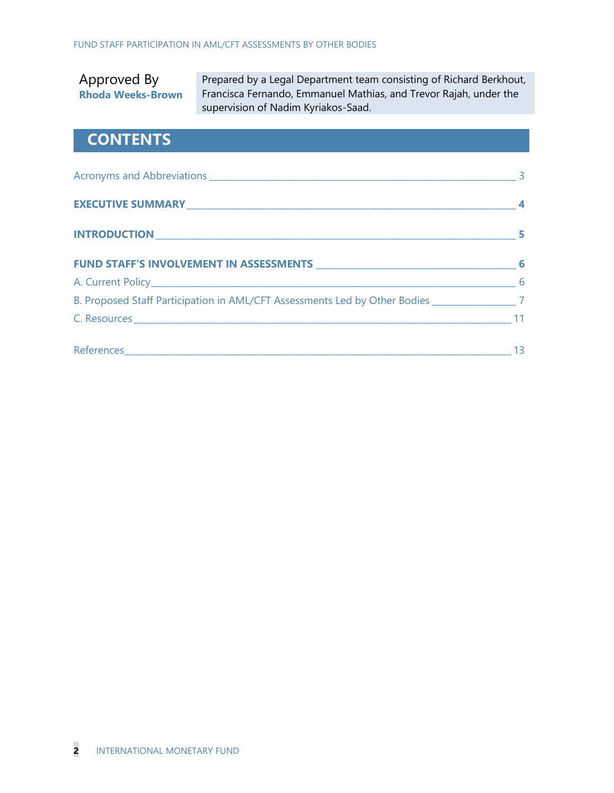### Approved By **Rhoda Weeks-Brown**

Prepared by a Legal Department team consisting of Richard Berkhout, Francisca Fernando, Emmanuel Mathias, and Trevor Rajah, under the supervision of Nadim Kyriakos-Saad.

### **CONTENTS**

| B. Proposed Staff Participation in AML/CFT Assessments Led by Other Bodies _______________________7 |  |
|-----------------------------------------------------------------------------------------------------|--|
|                                                                                                     |  |
|                                                                                                     |  |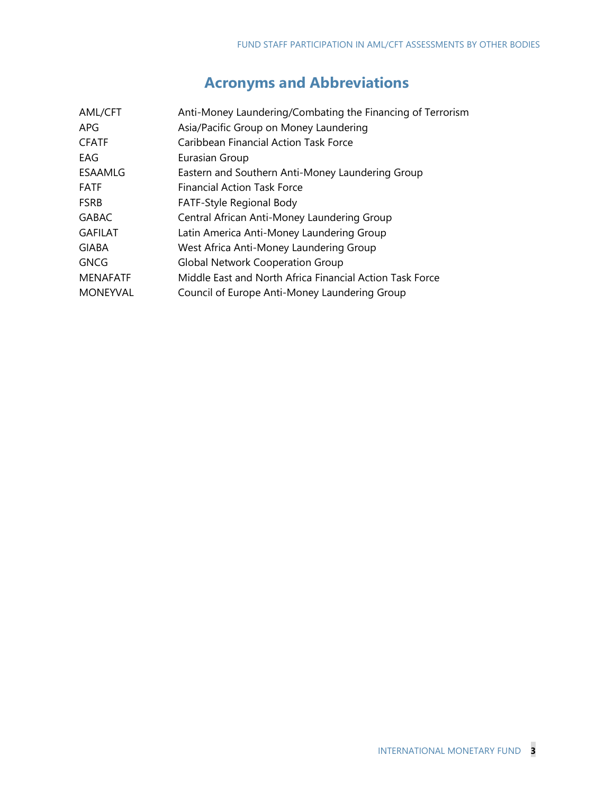# **Acronyms and Abbreviations**

| <b>AML/CFT</b>  | Anti-Money Laundering/Combating the Financing of Terrorism |
|-----------------|------------------------------------------------------------|
| APG             | Asia/Pacific Group on Money Laundering                     |
| <b>CFATF</b>    | Caribbean Financial Action Task Force                      |
| EAG             | Eurasian Group                                             |
| <b>ESAAMLG</b>  | Eastern and Southern Anti-Money Laundering Group           |
| <b>FATF</b>     | <b>Financial Action Task Force</b>                         |
| <b>FSRB</b>     | FATF-Style Regional Body                                   |
| <b>GABAC</b>    | Central African Anti-Money Laundering Group                |
| <b>GAFILAT</b>  | Latin America Anti-Money Laundering Group                  |
| GIABA           | West Africa Anti-Money Laundering Group                    |
| <b>GNCG</b>     | <b>Global Network Cooperation Group</b>                    |
| <b>MENAFATF</b> | Middle East and North Africa Financial Action Task Force   |
| <b>MONEYVAL</b> | Council of Europe Anti-Money Laundering Group              |
|                 |                                                            |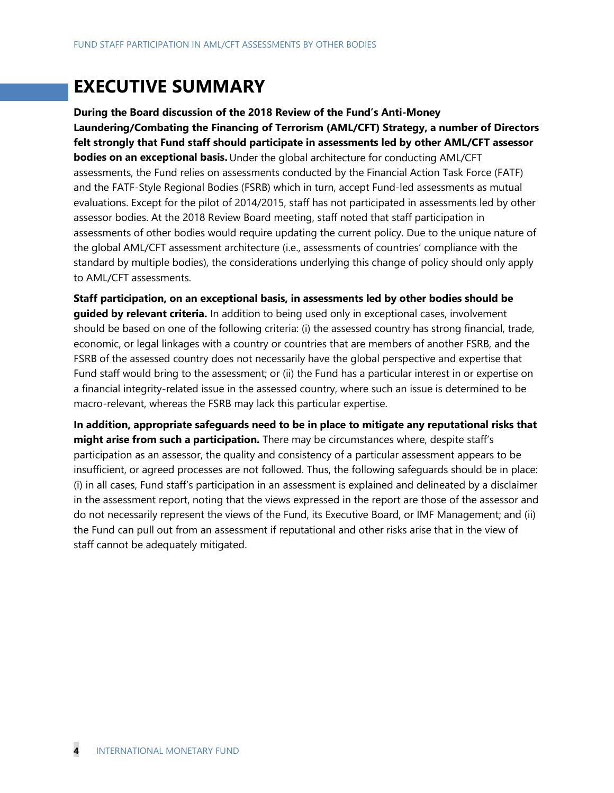# **EXECUTIVE SUMMARY**

**During the Board discussion of the 2018 Review of the Fund's Anti-Money Laundering/Combating the Financing of Terrorism (AML/CFT) Strategy, a number of Directors felt strongly that Fund staff should participate in assessments led by other AML/CFT assessor bodies on an exceptional basis.** Under the global architecture for conducting AML/CFT assessments, the Fund relies on assessments conducted by the Financial Action Task Force (FATF) and the FATF-Style Regional Bodies (FSRB) which in turn, accept Fund-led assessments as mutual evaluations. Except for the pilot of 2014/2015, staff has not participated in assessments led by other assessor bodies. At the 2018 Review Board meeting, staff noted that staff participation in assessments of other bodies would require updating the current policy. Due to the unique nature of the global AML/CFT assessment architecture (i.e., assessments of countries' compliance with the standard by multiple bodies), the considerations underlying this change of policy should only apply to AML/CFT assessments.

**Staff participation, on an exceptional basis, in assessments led by other bodies should be guided by relevant criteria.** In addition to being used only in exceptional cases, involvement should be based on one of the following criteria: (i) the assessed country has strong financial, trade, economic, or legal linkages with a country or countries that are members of another FSRB, and the FSRB of the assessed country does not necessarily have the global perspective and expertise that Fund staff would bring to the assessment; or (ii) the Fund has a particular interest in or expertise on a financial integrity-related issue in the assessed country, where such an issue is determined to be macro-relevant, whereas the FSRB may lack this particular expertise.

**In addition, appropriate safeguards need to be in place to mitigate any reputational risks that might arise from such a participation.** There may be circumstances where, despite staff's participation as an assessor, the quality and consistency of a particular assessment appears to be insufficient, or agreed processes are not followed. Thus, the following safeguards should be in place: (i) in all cases, Fund staff's participation in an assessment is explained and delineated by a disclaimer in the assessment report, noting that the views expressed in the report are those of the assessor and do not necessarily represent the views of the Fund, its Executive Board, or IMF Management; and (ii) the Fund can pull out from an assessment if reputational and other risks arise that in the view of staff cannot be adequately mitigated.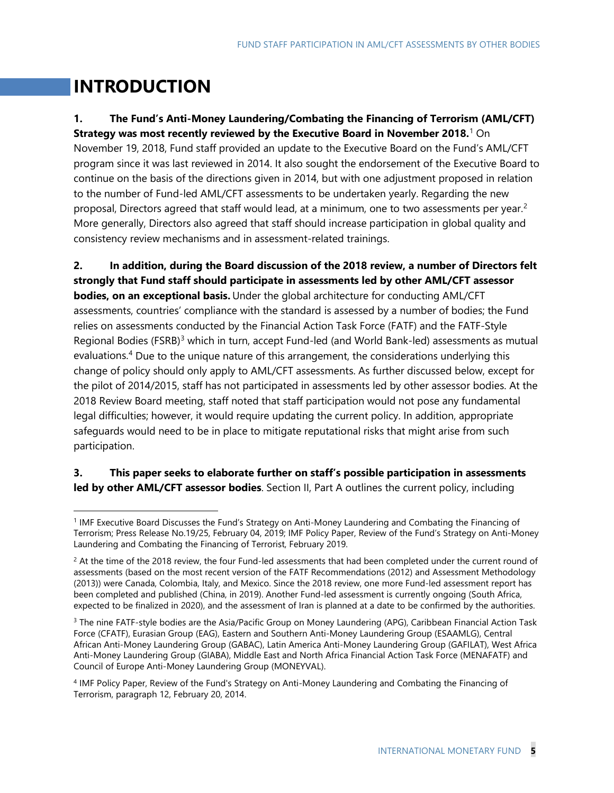# **INTRODUCTION**

#### **1. The Fund's Anti-Money Laundering/Combating the Financing of Terrorism (AML/CFT) Strategy was most recently reviewed by the Executive Board in November 2018.**[1](#page-4-0) On

November 19, 2018, Fund staff provided an update to the Executive Board on the Fund's AML/CFT program since it was last reviewed in 2014. It also sought the endorsement of the Executive Board to continue on the basis of the directions given in 2014, but with one adjustment proposed in relation to the number of Fund-led AML/CFT assessments to be undertaken yearly. Regarding the new proposal, Directors agreed that staff would lead, at a minimum, one to two assessments per year.<sup>[2](#page-4-1)</sup> More generally, Directors also agreed that staff should increase participation in global quality and consistency review mechanisms and in assessment-related trainings.

**2. In addition, during the Board discussion of the 2018 review, a number of Directors felt strongly that Fund staff should participate in assessments led by other AML/CFT assessor bodies, on an exceptional basis.** Under the global architecture for conducting AML/CFT assessments, countries' compliance with the standard is assessed by a number of bodies; the Fund relies on assessments conducted by the Financial Action Task Force (FATF) and the FATF-Style Regional Bodies (FSRB)<sup>[3](#page-4-2)</sup> which in turn, accept Fund-led (and World Bank-led) assessments as mutual evaluations.<sup>[4](#page-4-3)</sup> Due to the unique nature of this arrangement, the considerations underlying this change of policy should only apply to AML/CFT assessments. As further discussed below, except for the pilot of 2014/2015, staff has not participated in assessments led by other assessor bodies. At the 2018 Review Board meeting, staff noted that staff participation would not pose any fundamental legal difficulties; however, it would require updating the current policy. In addition, appropriate safeguards would need to be in place to mitigate reputational risks that might arise from such participation.

### **3. This paper seeks to elaborate further on staff's possible participation in assessments led by other AML/CFT assessor bodies**. Section II, Part A outlines the current policy, including

<span id="page-4-0"></span><sup>&</sup>lt;sup>1</sup> IMF Executive Board Discusses the Fund's Strategy on Anti-Money Laundering and Combating the Financing of Terrorism; Press Release No.19/25, February 04, 2019; IMF Policy Paper, Review of the Fund's Strategy on Anti-Money Laundering and Combating the Financing of Terrorist, February 2019.

<span id="page-4-1"></span><sup>&</sup>lt;sup>2</sup> At the time of the 2018 review, the four Fund-led assessments that had been completed under the current round of assessments (based on the most recent version of the FATF Recommendations (2012) and Assessment Methodology (2013)) were Canada, Colombia, Italy, and Mexico. Since the 2018 review, one more Fund-led assessment report has been completed and published (China, in 2019). Another Fund-led assessment is currently ongoing (South Africa, expected to be finalized in 2020), and the assessment of Iran is planned at a date to be confirmed by the authorities.

<span id="page-4-2"></span><sup>&</sup>lt;sup>3</sup> The nine FATF-style bodies are the Asia/Pacific Group on Money Laundering (APG), Caribbean Financial Action Task Force (CFATF), Eurasian Group (EAG), Eastern and Southern Anti-Money Laundering Group (ESAAMLG), Central African Anti-Money Laundering Group (GABAC), Latin America Anti-Money Laundering Group (GAFILAT), West Africa Anti-Money Laundering Group (GIABA), Middle East and North Africa Financial Action Task Force (MENAFATF) and Council of Europe Anti-Money Laundering Group (MONEYVAL).

<span id="page-4-3"></span><sup>4</sup> IMF Policy Paper, Review of the Fund's Strategy on Anti-Money Laundering and Combating the Financing of Terrorism, paragraph 12, February 20, 2014.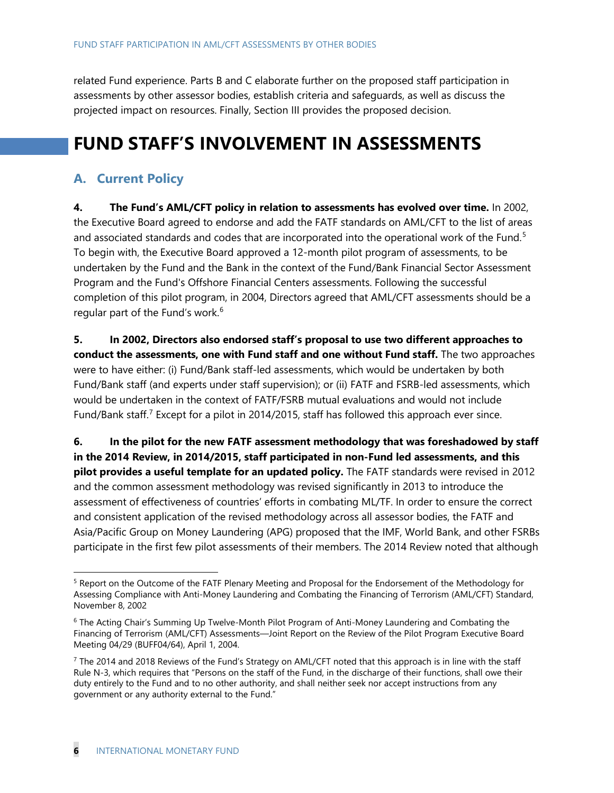related Fund experience. Parts B and C elaborate further on the proposed staff participation in assessments by other assessor bodies, establish criteria and safeguards, as well as discuss the projected impact on resources. Finally, Section III provides the proposed decision.

# **FUND STAFF'S INVOLVEMENT IN ASSESSMENTS**

### **A. Current Policy**

**4. The Fund's AML/CFT policy in relation to assessments has evolved over time.** In 2002, the Executive Board agreed to endorse and add the FATF standards on AML/CFT to the list of areas and associated standards and codes that are incorporated into the operational work of the Fund.<sup>[5](#page-5-0)</sup> To begin with, the Executive Board approved a 12-month pilot program of assessments, to be undertaken by the Fund and the Bank in the context of the Fund/Bank Financial Sector Assessment Program and the Fund's Offshore Financial Centers assessments. Following the successful completion of this pilot program, in 2004, Directors agreed that AML/CFT assessments should be a regular part of the Fund's work.<sup>[6](#page-5-1)</sup>

**5. In 2002, Directors also endorsed staff's proposal to use two different approaches to conduct the assessments, one with Fund staff and one without Fund staff.** The two approaches were to have either: (i) Fund/Bank staff-led assessments, which would be undertaken by both Fund/Bank staff (and experts under staff supervision); or (ii) FATF and FSRB-led assessments, which would be undertaken in the context of FATF/FSRB mutual evaluations and would not include Fund/Bank staff.<sup>[7](#page-5-2)</sup> Except for a pilot in 2014/2015, staff has followed this approach ever since.

**6. In the pilot for the new FATF assessment methodology that was foreshadowed by staff in the 2014 Review, in 2014/2015, staff participated in non-Fund led assessments, and this pilot provides a useful template for an updated policy.** The FATF standards were revised in 2012 and the common assessment methodology was revised significantly in 2013 to introduce the assessment of effectiveness of countries' efforts in combating ML/TF. In order to ensure the correct and consistent application of the revised methodology across all assessor bodies, the FATF and Asia/Pacific Group on Money Laundering (APG) proposed that the IMF, World Bank, and other FSRBs participate in the first few pilot assessments of their members. The 2014 Review noted that although

<span id="page-5-0"></span><sup>&</sup>lt;sup>5</sup> Report on the Outcome of the FATF Plenary Meeting and Proposal for the Endorsement of the Methodology for Assessing Compliance with Anti-Money Laundering and Combating the Financing of Terrorism (AML/CFT) Standard, November 8, 2002

<span id="page-5-1"></span><sup>&</sup>lt;sup>6</sup> The Acting Chair's Summing Up Twelve-Month Pilot Program of Anti-Money Laundering and Combating the Financing of Terrorism (AML/CFT) Assessments—Joint Report on the Review of the Pilot Program Executive Board Meeting 04/29 (BUFF04/64), April 1, 2004.

<span id="page-5-2"></span> $7$  The 2014 and 2018 Reviews of the Fund's Strategy on AML/CFT noted that this approach is in line with the staff Rule N-3, which requires that "Persons on the staff of the Fund, in the discharge of their functions, shall owe their duty entirely to the Fund and to no other authority, and shall neither seek nor accept instructions from any government or any authority external to the Fund."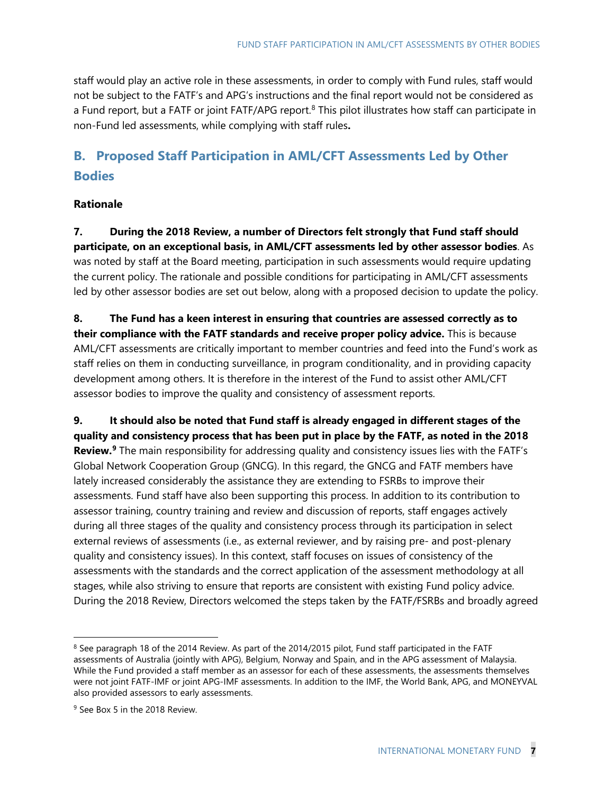staff would play an active role in these assessments, in order to comply with Fund rules, staff would not be subject to the FATF's and APG's instructions and the final report would not be considered as a Fund report, but a FATF or joint FATF/APG report.<sup>[8](#page-6-0)</sup> This pilot illustrates how staff can participate in non-Fund led assessments, while complying with staff rules**.** 

### **B. Proposed Staff Participation in AML/CFT Assessments Led by Other Bodies**

#### **Rationale**

**7. During the 2018 Review, a number of Directors felt strongly that Fund staff should participate, on an exceptional basis, in AML/CFT assessments led by other assessor bodies**. As was noted by staff at the Board meeting, participation in such assessments would require updating the current policy. The rationale and possible conditions for participating in AML/CFT assessments led by other assessor bodies are set out below, along with a proposed decision to update the policy.

**8. The Fund has a keen interest in ensuring that countries are assessed correctly as to their compliance with the FATF standards and receive proper policy advice.** This is because AML/CFT assessments are critically important to member countries and feed into the Fund's work as staff relies on them in conducting surveillance, in program conditionality, and in providing capacity development among others. It is therefore in the interest of the Fund to assist other AML/CFT assessor bodies to improve the quality and consistency of assessment reports.

**9. It should also be noted that Fund staff is already engaged in different stages of the quality and consistency process that has been put in place by the FATF, as noted in the 2018 Review.[9](#page-6-1)** The main responsibility for addressing quality and consistency issues lies with the FATF's Global Network Cooperation Group (GNCG). In this regard, the GNCG and FATF members have lately increased considerably the assistance they are extending to FSRBs to improve their assessments. Fund staff have also been supporting this process. In addition to its contribution to assessor training, country training and review and discussion of reports, staff engages actively during all three stages of the quality and consistency process through its participation in select external reviews of assessments (i.e., as external reviewer, and by raising pre- and post-plenary quality and consistency issues). In this context, staff focuses on issues of consistency of the assessments with the standards and the correct application of the assessment methodology at all stages, while also striving to ensure that reports are consistent with existing Fund policy advice. During the 2018 Review, Directors welcomed the steps taken by the FATF/FSRBs and broadly agreed

<span id="page-6-0"></span><sup>&</sup>lt;sup>8</sup> See paragraph 18 of the 2014 Review. As part of the 2014/2015 pilot, Fund staff participated in the FATF assessments of Australia (jointly with APG), Belgium, Norway and Spain, and in the APG assessment of Malaysia. While the Fund provided a staff member as an assessor for each of these assessments, the assessments themselves were not joint FATF-IMF or joint APG-IMF assessments. In addition to the IMF, the World Bank, APG, and MONEYVAL also provided assessors to early assessments.

<span id="page-6-1"></span><sup>&</sup>lt;sup>9</sup> See Box 5 in the 2018 Review.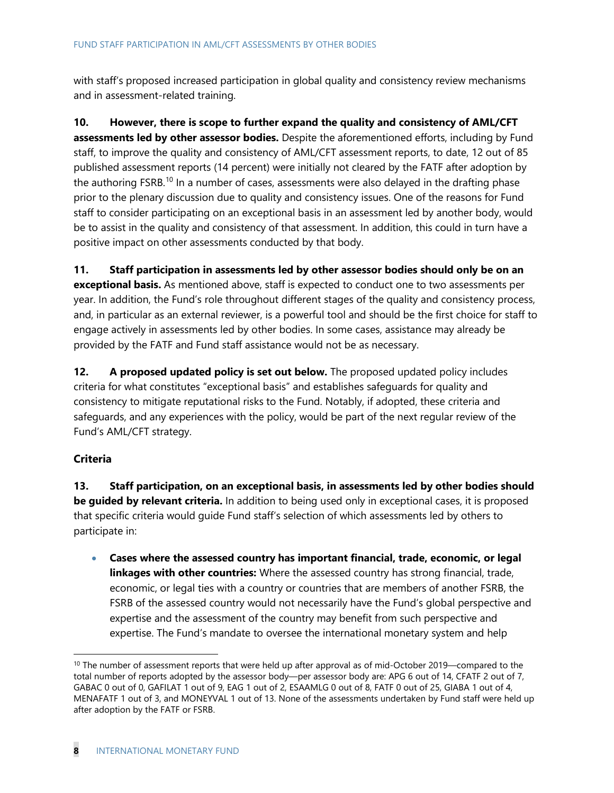with staff's proposed increased participation in global quality and consistency review mechanisms and in assessment-related training.

**10. However, there is scope to further expand the quality and consistency of AML/CFT assessments led by other assessor bodies.** Despite the aforementioned efforts, including by Fund staff, to improve the quality and consistency of AML/CFT assessment reports, to date, 12 out of 85 published assessment reports (14 percent) were initially not cleared by the FATF after adoption by the authoring FSRB.<sup>[10](#page-7-0)</sup> In a number of cases, assessments were also delayed in the drafting phase prior to the plenary discussion due to quality and consistency issues. One of the reasons for Fund staff to consider participating on an exceptional basis in an assessment led by another body, would be to assist in the quality and consistency of that assessment. In addition, this could in turn have a positive impact on other assessments conducted by that body.

**11. Staff participation in assessments led by other assessor bodies should only be on an exceptional basis.** As mentioned above, staff is expected to conduct one to two assessments per year. In addition, the Fund's role throughout different stages of the quality and consistency process, and, in particular as an external reviewer, is a powerful tool and should be the first choice for staff to engage actively in assessments led by other bodies. In some cases, assistance may already be provided by the FATF and Fund staff assistance would not be as necessary.

**12. A proposed updated policy is set out below.** The proposed updated policy includes criteria for what constitutes "exceptional basis" and establishes safeguards for quality and consistency to mitigate reputational risks to the Fund. Notably, if adopted, these criteria and safeguards, and any experiences with the policy, would be part of the next regular review of the Fund's AML/CFT strategy.

### **Criteria**

**13. Staff participation, on an exceptional basis, in assessments led by other bodies should be guided by relevant criteria.** In addition to being used only in exceptional cases, it is proposed that specific criteria would guide Fund staff's selection of which assessments led by others to participate in:

• **Cases where the assessed country has important financial, trade, economic, or legal linkages with other countries:** Where the assessed country has strong financial, trade, economic, or legal ties with a country or countries that are members of another FSRB, the FSRB of the assessed country would not necessarily have the Fund's global perspective and expertise and the assessment of the country may benefit from such perspective and expertise. The Fund's mandate to oversee the international monetary system and help

<span id="page-7-0"></span> $10$  The number of assessment reports that were held up after approval as of mid-October 2019—compared to the total number of reports adopted by the assessor body—per assessor body are: APG 6 out of 14, CFATF 2 out of 7, GABAC 0 out of 0, GAFILAT 1 out of 9, EAG 1 out of 2, ESAAMLG 0 out of 8, FATF 0 out of 25, GIABA 1 out of 4, MENAFATF 1 out of 3, and MONEYVAL 1 out of 13. None of the assessments undertaken by Fund staff were held up after adoption by the FATF or FSRB.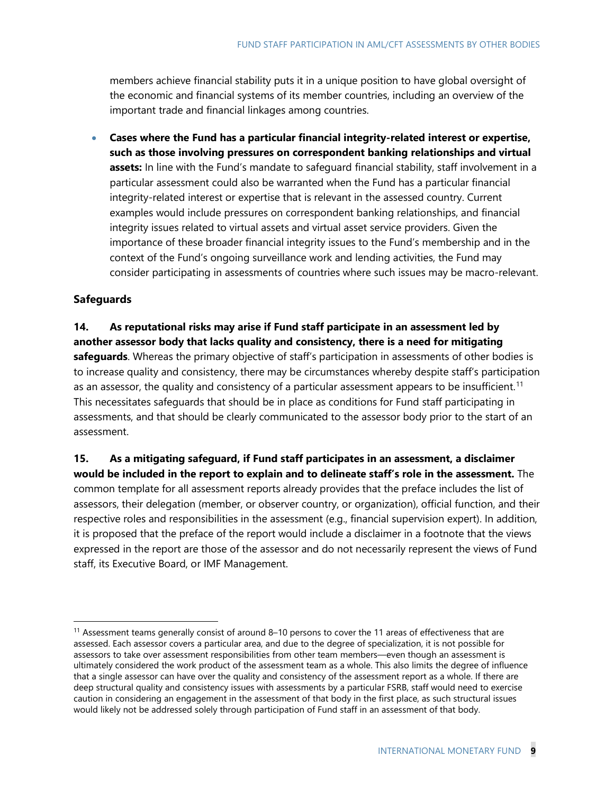members achieve financial stability puts it in a unique position to have global oversight of the economic and financial systems of its member countries, including an overview of the important trade and financial linkages among countries.

• **Cases where the Fund has a particular financial integrity-related interest or expertise, such as those involving pressures on correspondent banking relationships and virtual assets:** In line with the Fund's mandate to safeguard financial stability, staff involvement in a particular assessment could also be warranted when the Fund has a particular financial integrity-related interest or expertise that is relevant in the assessed country. Current examples would include pressures on correspondent banking relationships, and financial integrity issues related to virtual assets and virtual asset service providers. Given the importance of these broader financial integrity issues to the Fund's membership and in the context of the Fund's ongoing surveillance work and lending activities, the Fund may consider participating in assessments of countries where such issues may be macro-relevant.

#### **Safeguards**

### **14. As reputational risks may arise if Fund staff participate in an assessment led by another assessor body that lacks quality and consistency, there is a need for mitigating safeguards**. Whereas the primary objective of staff's participation in assessments of other bodies is to increase quality and consistency, there may be circumstances whereby despite staff's participation

as an assessor, the quality and consistency of a particular assessment appears to be insufficient.<sup>[11](#page-8-0)</sup> This necessitates safeguards that should be in place as conditions for Fund staff participating in assessments, and that should be clearly communicated to the assessor body prior to the start of an assessment.

**15. As a mitigating safeguard, if Fund staff participates in an assessment, a disclaimer would be included in the report to explain and to delineate staff's role in the assessment.** The common template for all assessment reports already provides that the preface includes the list of assessors, their delegation (member, or observer country, or organization), official function, and their respective roles and responsibilities in the assessment (e.g., financial supervision expert). In addition, it is proposed that the preface of the report would include a disclaimer in a footnote that the views expressed in the report are those of the assessor and do not necessarily represent the views of Fund staff, its Executive Board, or IMF Management.

<span id="page-8-0"></span><sup>11</sup> Assessment teams generally consist of around 8–10 persons to cover the 11 areas of effectiveness that are assessed. Each assessor covers a particular area, and due to the degree of specialization, it is not possible for assessors to take over assessment responsibilities from other team members—even though an assessment is ultimately considered the work product of the assessment team as a whole. This also limits the degree of influence that a single assessor can have over the quality and consistency of the assessment report as a whole. If there are deep structural quality and consistency issues with assessments by a particular FSRB, staff would need to exercise caution in considering an engagement in the assessment of that body in the first place, as such structural issues would likely not be addressed solely through participation of Fund staff in an assessment of that body.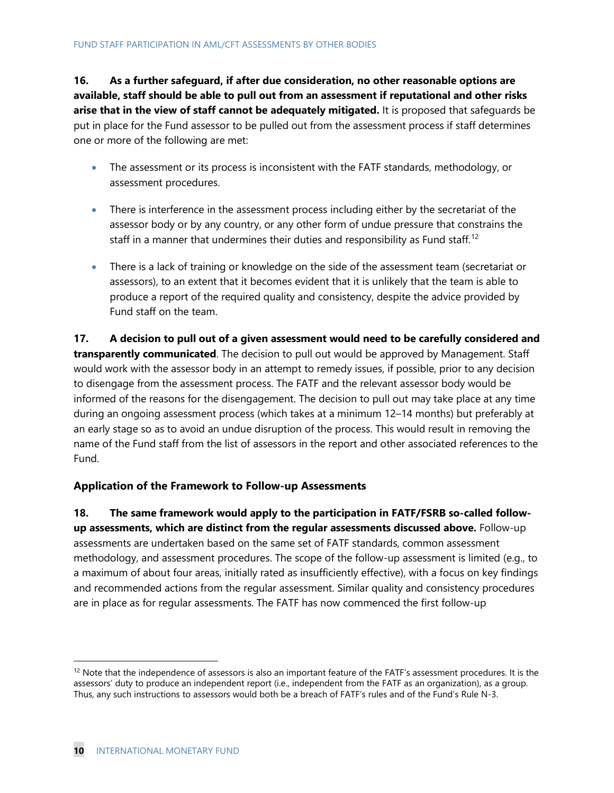**16. As a further safeguard, if after due consideration, no other reasonable options are available, staff should be able to pull out from an assessment if reputational and other risks arise that in the view of staff cannot be adequately mitigated.** It is proposed that safeguards be put in place for the Fund assessor to be pulled out from the assessment process if staff determines one or more of the following are met:

- The assessment or its process is inconsistent with the FATF standards, methodology, or assessment procedures.
- There is interference in the assessment process including either by the secretariat of the assessor body or by any country, or any other form of undue pressure that constrains the staff in a manner that undermines their duties and responsibility as Fund staff.<sup>[12](#page-9-0)</sup>
- There is a lack of training or knowledge on the side of the assessment team (secretariat or assessors), to an extent that it becomes evident that it is unlikely that the team is able to produce a report of the required quality and consistency, despite the advice provided by Fund staff on the team.

**17. A decision to pull out of a given assessment would need to be carefully considered and transparently communicated**. The decision to pull out would be approved by Management. Staff would work with the assessor body in an attempt to remedy issues, if possible, prior to any decision to disengage from the assessment process. The FATF and the relevant assessor body would be informed of the reasons for the disengagement. The decision to pull out may take place at any time during an ongoing assessment process (which takes at a minimum 12–14 months) but preferably at an early stage so as to avoid an undue disruption of the process. This would result in removing the name of the Fund staff from the list of assessors in the report and other associated references to the Fund.

### **Application of the Framework to Follow-up Assessments**

**18. The same framework would apply to the participation in FATF/FSRB so-called followup assessments, which are distinct from the regular assessments discussed above.** Follow-up assessments are undertaken based on the same set of FATF standards, common assessment methodology, and assessment procedures. The scope of the follow-up assessment is limited (e.g., to a maximum of about four areas, initially rated as insufficiently effective), with a focus on key findings and recommended actions from the regular assessment. Similar quality and consistency procedures are in place as for regular assessments. The FATF has now commenced the first follow-up

<span id="page-9-0"></span> $12$  Note that the independence of assessors is also an important feature of the FATF's assessment procedures. It is the assessors' duty to produce an independent report (i.e., independent from the FATF as an organization), as a group. Thus, any such instructions to assessors would both be a breach of FATF's rules and of the Fund's Rule N-3.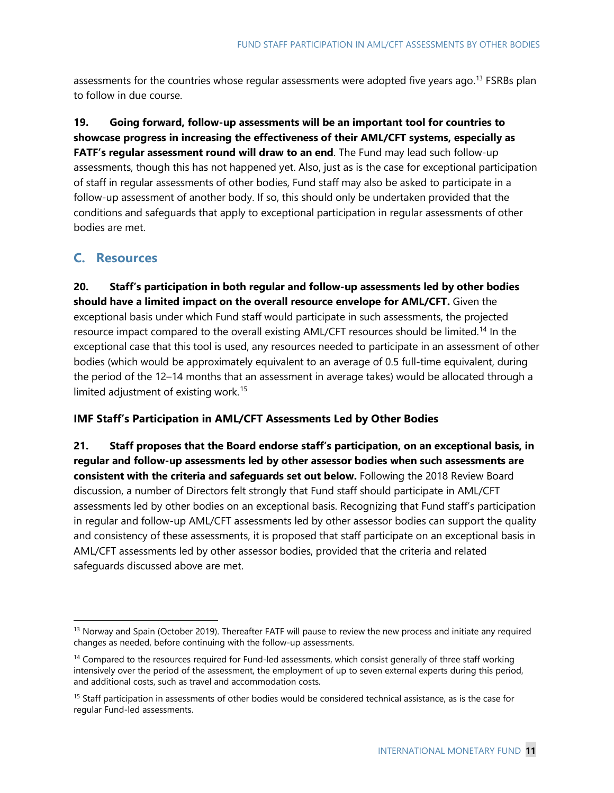assessments for the countries whose regular assessments were adopted five years ago.<sup>[13](#page-10-0)</sup> FSRBs plan to follow in due course.

**19. Going forward, follow-up assessments will be an important tool for countries to showcase progress in increasing the effectiveness of their AML/CFT systems, especially as FATF's regular assessment round will draw to an end**. The Fund may lead such follow-up assessments, though this has not happened yet. Also, just as is the case for exceptional participation of staff in regular assessments of other bodies, Fund staff may also be asked to participate in a follow-up assessment of another body. If so, this should only be undertaken provided that the conditions and safeguards that apply to exceptional participation in regular assessments of other bodies are met.

### **C. Resources**

**20. Staff's participation in both regular and follow-up assessments led by other bodies should have a limited impact on the overall resource envelope for AML/CFT.** Given the exceptional basis under which Fund staff would participate in such assessments, the projected resource impact compared to the overall existing AML/CFT resources should be limited.<sup>[14](#page-10-1)</sup> In the exceptional case that this tool is used, any resources needed to participate in an assessment of other bodies (which would be approximately equivalent to an average of 0.5 full-time equivalent, during the period of the 12–14 months that an assessment in average takes) would be allocated through a limited adjustment of existing work.<sup>[15](#page-10-2)</sup>

#### **IMF Staff's Participation in AML/CFT Assessments Led by Other Bodies**

**21. Staff proposes that the Board endorse staff's participation, on an exceptional basis, in regular and follow-up assessments led by other assessor bodies when such assessments are consistent with the criteria and safeguards set out below.** Following the 2018 Review Board discussion, a number of Directors felt strongly that Fund staff should participate in AML/CFT assessments led by other bodies on an exceptional basis. Recognizing that Fund staff's participation in regular and follow-up AML/CFT assessments led by other assessor bodies can support the quality and consistency of these assessments, it is proposed that staff participate on an exceptional basis in AML/CFT assessments led by other assessor bodies, provided that the criteria and related safeguards discussed above are met.

<span id="page-10-0"></span><sup>&</sup>lt;sup>13</sup> Norway and Spain (October 2019). Thereafter FATF will pause to review the new process and initiate any required changes as needed, before continuing with the follow-up assessments.

<span id="page-10-1"></span><sup>&</sup>lt;sup>14</sup> Compared to the resources required for Fund-led assessments, which consist generally of three staff working intensively over the period of the assessment, the employment of up to seven external experts during this period, and additional costs, such as travel and accommodation costs.

<span id="page-10-2"></span><sup>&</sup>lt;sup>15</sup> Staff participation in assessments of other bodies would be considered technical assistance, as is the case for regular Fund-led assessments.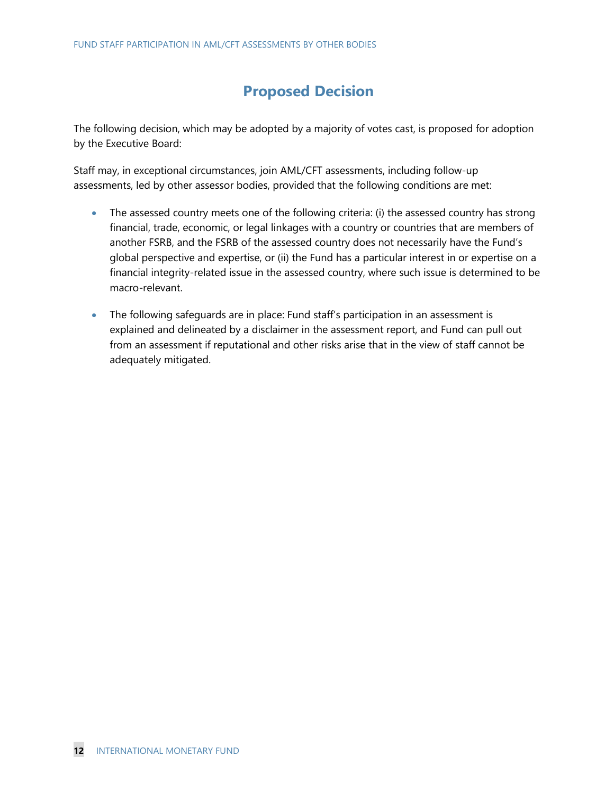### **Proposed Decision**

The following decision, which may be adopted by a majority of votes cast, is proposed for adoption by the Executive Board:

Staff may, in exceptional circumstances, join AML/CFT assessments, including follow-up assessments, led by other assessor bodies, provided that the following conditions are met:

- The assessed country meets one of the following criteria: (i) the assessed country has strong financial, trade, economic, or legal linkages with a country or countries that are members of another FSRB, and the FSRB of the assessed country does not necessarily have the Fund's global perspective and expertise, or (ii) the Fund has a particular interest in or expertise on a financial integrity-related issue in the assessed country, where such issue is determined to be macro-relevant.
- The following safeguards are in place: Fund staff's participation in an assessment is explained and delineated by a disclaimer in the assessment report, and Fund can pull out from an assessment if reputational and other risks arise that in the view of staff cannot be adequately mitigated.